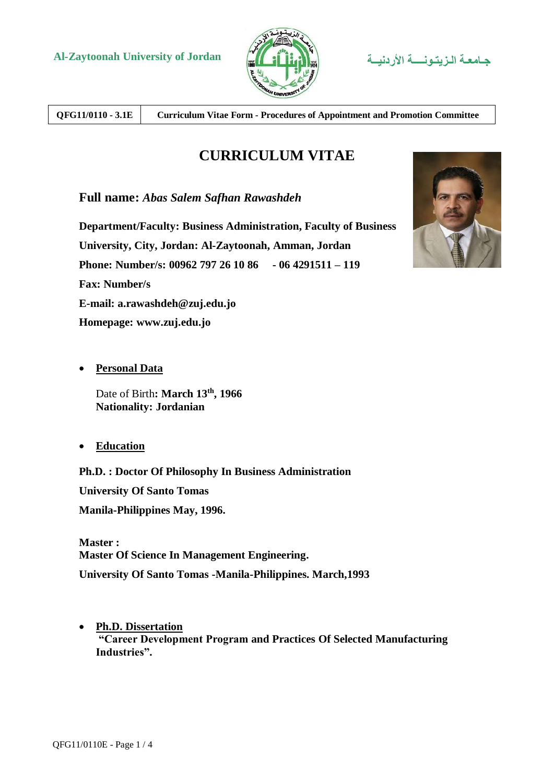

**QFG11/0110 - 3.1E Curriculum Vitae Form - Procedures of Appointment and Promotion Committee**

# **CURRICULUM VITAE**

**Full name:** *Abas Salem Safhan Rawashdeh*

**Department/Faculty: Business Administration, Faculty of Business University, City, Jordan: Al-Zaytoonah, Amman, Jordan Phone: Number/s: 00962 797 26 10 86 - 06 4291511 – 119 Fax: Number/s E-mail: a.rawashdeh@zuj.edu.jo Homepage: www.zuj.edu.jo**

**Personal Data**

Date of Birth**: March 13th, 1966 Nationality: Jordanian**

**Education**

**Ph.D. : Doctor Of Philosophy In Business Administration**

**University Of Santo Tomas Manila-Philippines May, 1996.**

**Master : Master Of Science In Management Engineering. University Of Santo Tomas -Manila-Philippines. March,1993**

 **Ph.D. Dissertation "Career Development Program and Practices Of Selected Manufacturing Industries".**

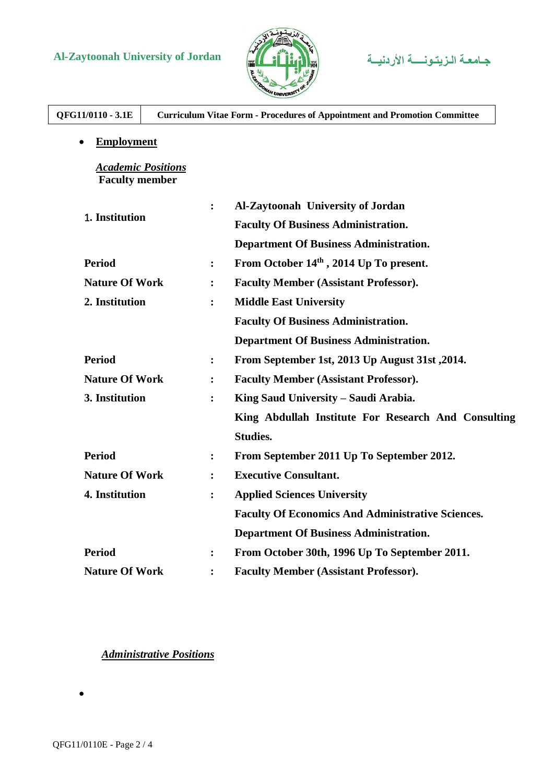# **Al-Zaytoonah University of Jordan األردنيــة الـزيتـونــــة جـامعـة**



| QFG11/0110 - 3.1E                                  |                      | <b>Curriculum Vitae Form - Procedures of Appointment and Promotion Committee</b> |
|----------------------------------------------------|----------------------|----------------------------------------------------------------------------------|
| <b>Employment</b>                                  |                      |                                                                                  |
| <b>Academic Positions</b><br><b>Faculty member</b> |                      |                                                                                  |
|                                                    | $\ddot{\cdot}$       | Al-Zaytoonah University of Jordan                                                |
| 1. Institution                                     |                      | <b>Faculty Of Business Administration.</b>                                       |
|                                                    |                      | <b>Department Of Business Administration.</b>                                    |
| <b>Period</b>                                      | $\ddot{\cdot}$       | From October 14th, 2014 Up To present.                                           |
| <b>Nature Of Work</b>                              | $\ddot{\cdot}$       | <b>Faculty Member (Assistant Professor).</b>                                     |
| 2. Institution                                     | :                    | <b>Middle East University</b>                                                    |
|                                                    |                      | <b>Faculty Of Business Administration.</b>                                       |
|                                                    |                      | <b>Department Of Business Administration.</b>                                    |
| <b>Period</b>                                      | $\ddot{\cdot}$       | From September 1st, 2013 Up August 31st, 2014.                                   |
| <b>Nature Of Work</b>                              | $\ddot{\phantom{a}}$ | <b>Faculty Member (Assistant Professor).</b>                                     |
| 3. Institution                                     | $\ddot{\cdot}$       | King Saud University - Saudi Arabia.                                             |
|                                                    |                      | King Abdullah Institute For Research And Consulting                              |
|                                                    |                      | <b>Studies.</b>                                                                  |
| <b>Period</b>                                      | $\ddot{\cdot}$       | From September 2011 Up To September 2012.                                        |
| <b>Nature Of Work</b>                              | $\ddot{\cdot}$       | <b>Executive Consultant.</b>                                                     |
| 4. Institution                                     | $\ddot{\cdot}$       | <b>Applied Sciences University</b>                                               |
|                                                    |                      | <b>Faculty Of Economics And Administrative Sciences.</b>                         |
|                                                    |                      | <b>Department Of Business Administration.</b>                                    |
| <b>Period</b>                                      | $\ddot{\cdot}$       | From October 30th, 1996 Up To September 2011.                                    |
| <b>Nature Of Work</b>                              |                      | <b>Faculty Member (Assistant Professor).</b>                                     |

### *Administrative Positions*

 $\bullet$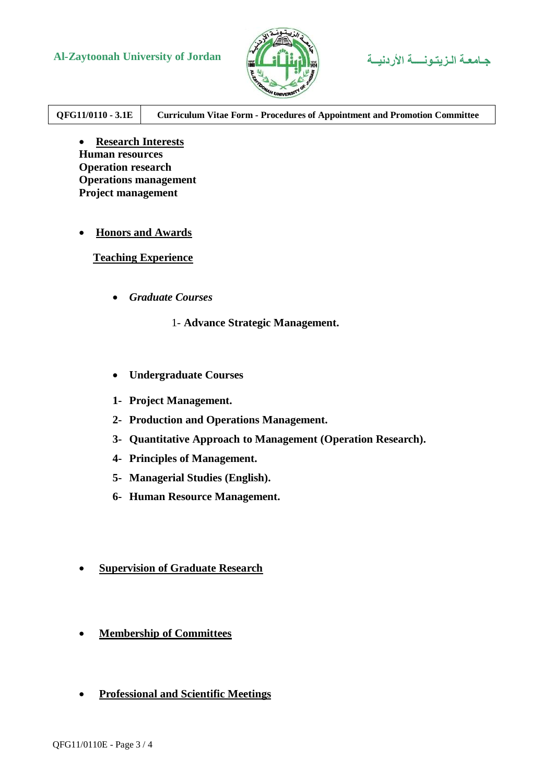# **Al-Zaytoonah University of Jordan األردنيــة الـزيتـونــــة جـامعـة**



**QFG11/0110 - 3.1E Curriculum Vitae Form - Procedures of Appointment and Promotion Committee**

 **Research Interests Human resources Operation research Operations management Project management**

#### **Honors and Awards**

**Teaching Experience**

*Graduate Courses*

1- **Advance Strategic Management.**

- **Undergraduate Courses**
- **1- Project Management.**
- **2- Production and Operations Management.**
- **3- Quantitative Approach to Management (Operation Research).**
- **4- Principles of Management.**
- **5- Managerial Studies (English).**
- **6- Human Resource Management.**
- **Supervision of Graduate Research**
- **Membership of Committees**
- **Professional and Scientific Meetings**